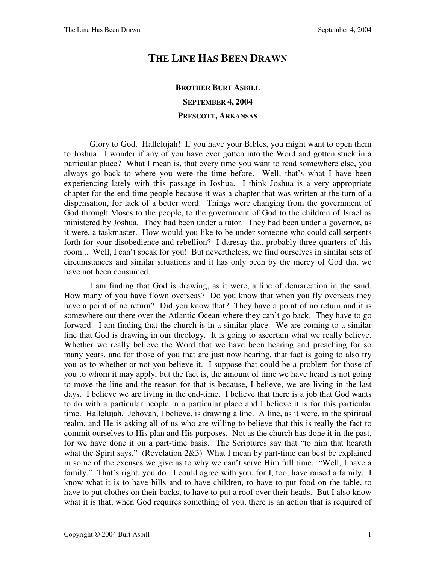## **THE LINE HAS BEEN DRAWN**

## **BROTHER BURT ASBILL SEPTEMBER 4, 2004 PRESCOTT, ARKANSAS**

Glory to God. Hallelujah! If you have your Bibles, you might want to open them to Joshua. I wonder if any of you have ever gotten into the Word and gotten stuck in a particular place? What I mean is, that every time you want to read somewhere else, you always go back to where you were the time before. Well, that's what I have been experiencing lately with this passage in Joshua. I think Joshua is a very appropriate chapter for the end-time people because it was a chapter that was written at the turn of a dispensation, for lack of a better word. Things were changing from the government of God through Moses to the people, to the government of God to the children of Israel as ministered by Joshua. They had been under a tutor. They had been under a governor, as it were, a taskmaster. How would you like to be under someone who could call serpents forth for your disobedience and rebellion? I daresay that probably three-quarters of this room... Well, I can't speak for you! But nevertheless, we find ourselves in similar sets of circumstances and similar situations and it has only been by the mercy of God that we have not been consumed.

 I am finding that God is drawing, as it were, a line of demarcation in the sand. How many of you have flown overseas? Do you know that when you fly overseas they have a point of no return? Did you know that? They have a point of no return and it is somewhere out there over the Atlantic Ocean where they can't go back. They have to go forward. I am finding that the church is in a similar place. We are coming to a similar line that God is drawing in our theology. It is going to ascertain what we really believe. Whether we really believe the Word that we have been hearing and preaching for so many years, and for those of you that are just now hearing, that fact is going to also try you as to whether or not you believe it. I suppose that could be a problem for those of you to whom it may apply, but the fact is, the amount of time we have heard is not going to move the line and the reason for that is because, I believe, we are living in the last days. I believe we are living in the end-time. I believe that there is a job that God wants to do with a particular people in a particular place and I believe it is for this particular time. Hallelujah. Jehovah, I believe, is drawing a line. A line, as it were, in the spiritual realm, and He is asking all of us who are willing to believe that this is really the fact to commit ourselves to His plan and His purposes. Not as the church has done it in the past, for we have done it on a part-time basis. The Scriptures say that "to him that heareth what the Spirit says." (Revelation 2&3) What I mean by part-time can best be explained in some of the excuses we give as to why we can't serve Him full time. "Well, I have a family." That's right, you do. I could agree with you, for I, too, have raised a family. I know what it is to have bills and to have children, to have to put food on the table, to have to put clothes on their backs, to have to put a roof over their heads. But I also know what it is that, when God requires something of you, there is an action that is required of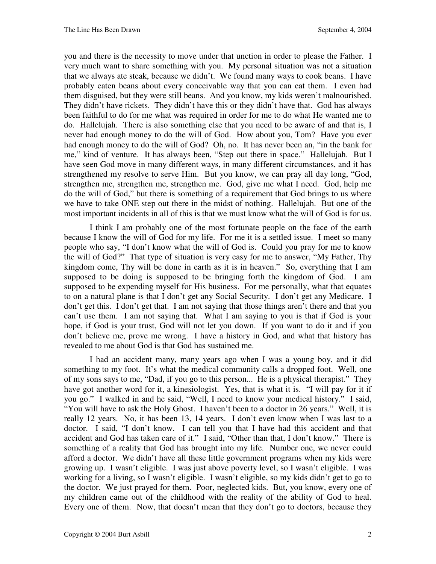you and there is the necessity to move under that unction in order to please the Father. I very much want to share something with you. My personal situation was not a situation that we always ate steak, because we didn't. We found many ways to cook beans. I have probably eaten beans about every conceivable way that you can eat them. I even had them disguised, but they were still beans. And you know, my kids weren't malnourished. They didn't have rickets. They didn't have this or they didn't have that. God has always been faithful to do for me what was required in order for me to do what He wanted me to do. Hallelujah. There is also something else that you need to be aware of and that is, I never had enough money to do the will of God. How about you, Tom? Have you ever had enough money to do the will of God? Oh, no. It has never been an, "in the bank for me," kind of venture. It has always been, "Step out there in space." Hallelujah. But I have seen God move in many different ways, in many different circumstances, and it has strengthened my resolve to serve Him. But you know, we can pray all day long, "God, strengthen me, strengthen me, strengthen me. God, give me what I need. God, help me do the will of God," but there is something of a requirement that God brings to us where we have to take ONE step out there in the midst of nothing. Hallelujah. But one of the most important incidents in all of this is that we must know what the will of God is for us.

 I think I am probably one of the most fortunate people on the face of the earth because I know the will of God for my life. For me it is a settled issue. I meet so many people who say, "I don't know what the will of God is. Could you pray for me to know the will of God?" That type of situation is very easy for me to answer, "My Father, Thy kingdom come, Thy will be done in earth as it is in heaven." So, everything that I am supposed to be doing is supposed to be bringing forth the kingdom of God. I am supposed to be expending myself for His business. For me personally, what that equates to on a natural plane is that I don't get any Social Security. I don't get any Medicare. I don't get this. I don't get that. I am not saying that those things aren't there and that you can't use them. I am not saying that. What I am saying to you is that if God is your hope, if God is your trust, God will not let you down. If you want to do it and if you don't believe me, prove me wrong. I have a history in God, and what that history has revealed to me about God is that God has sustained me.

I had an accident many, many years ago when I was a young boy, and it did something to my foot. It's what the medical community calls a dropped foot. Well, one of my sons says to me, "Dad, if you go to this person... He is a physical therapist." They have got another word for it, a kinesiologist. Yes, that is what it is. "I will pay for it if you go." I walked in and he said, "Well, I need to know your medical history." I said, "You will have to ask the Holy Ghost. I haven't been to a doctor in 26 years." Well, it is really 12 years. No, it has been 13, 14 years. I don't even know when I was last to a doctor. I said, "I don't know. I can tell you that I have had this accident and that accident and God has taken care of it." I said, "Other than that, I don't know." There is something of a reality that God has brought into my life. Number one, we never could afford a doctor. We didn't have all these little government programs when my kids were growing up. I wasn't eligible. I was just above poverty level, so I wasn't eligible. I was working for a living, so I wasn't eligible. I wasn't eligible, so my kids didn't get to go to the doctor. We just prayed for them. Poor, neglected kids. But, you know, every one of my children came out of the childhood with the reality of the ability of God to heal. Every one of them. Now, that doesn't mean that they don't go to doctors, because they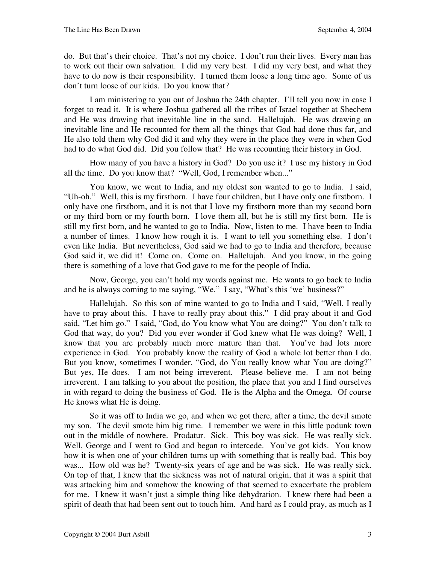do. But that's their choice. That's not my choice. I don't run their lives. Every man has to work out their own salvation. I did my very best. I did my very best, and what they have to do now is their responsibility. I turned them loose a long time ago. Some of us don't turn loose of our kids. Do you know that?

 I am ministering to you out of Joshua the 24th chapter. I'll tell you now in case I forget to read it. It is where Joshua gathered all the tribes of Israel together at Shechem and He was drawing that inevitable line in the sand. Hallelujah. He was drawing an inevitable line and He recounted for them all the things that God had done thus far, and He also told them why God did it and why they were in the place they were in when God had to do what God did. Did you follow that? He was recounting their history in God.

 How many of you have a history in God? Do you use it? I use my history in God all the time. Do you know that? "Well, God, I remember when..."

 You know, we went to India, and my oldest son wanted to go to India. I said, "Uh-oh." Well, this is my firstborn. I have four children, but I have only one firstborn. I only have one firstborn, and it is not that I love my firstborn more than my second born or my third born or my fourth born. I love them all, but he is still my first born. He is still my first born, and he wanted to go to India. Now, listen to me. I have been to India a number of times. I know how rough it is. I want to tell you something else. I don't even like India. But nevertheless, God said we had to go to India and therefore, because God said it, we did it! Come on. Come on. Hallelujah. And you know, in the going there is something of a love that God gave to me for the people of India.

 Now, George, you can't hold my words against me. He wants to go back to India and he is always coming to me saying, "We." I say, "What's this 'we' business?"

 Hallelujah. So this son of mine wanted to go to India and I said, "Well, I really have to pray about this. I have to really pray about this." I did pray about it and God said, "Let him go." I said, "God, do You know what You are doing?" You don't talk to God that way, do you? Did you ever wonder if God knew what He was doing? Well, I know that you are probably much more mature than that. You've had lots more experience in God. You probably know the reality of God a whole lot better than I do. But you know, sometimes I wonder, "God, do You really know what You are doing?" But yes, He does. I am not being irreverent. Please believe me. I am not being irreverent. I am talking to you about the position, the place that you and I find ourselves in with regard to doing the business of God. He is the Alpha and the Omega. Of course He knows what He is doing.

 So it was off to India we go, and when we got there, after a time, the devil smote my son. The devil smote him big time. I remember we were in this little podunk town out in the middle of nowhere. Prodatur. Sick. This boy was sick. He was really sick. Well, George and I went to God and began to intercede. You've got kids. You know how it is when one of your children turns up with something that is really bad. This boy was... How old was he? Twenty-six years of age and he was sick. He was really sick. On top of that, I knew that the sickness was not of natural origin, that it was a spirit that was attacking him and somehow the knowing of that seemed to exacerbate the problem for me. I knew it wasn't just a simple thing like dehydration. I knew there had been a spirit of death that had been sent out to touch him. And hard as I could pray, as much as I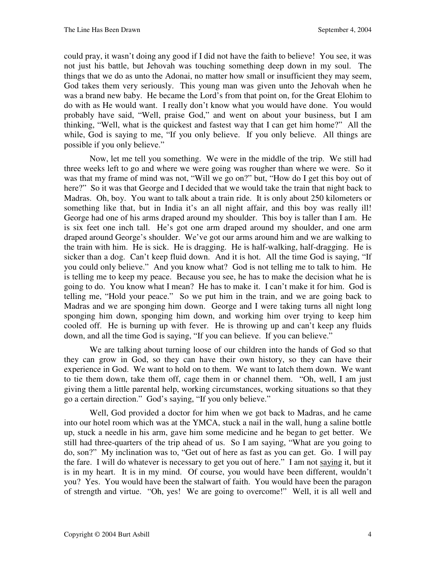could pray, it wasn't doing any good if I did not have the faith to believe! You see, it was not just his battle, but Jehovah was touching something deep down in my soul. The things that we do as unto the Adonai, no matter how small or insufficient they may seem, God takes them very seriously. This young man was given unto the Jehovah when he was a brand new baby. He became the Lord's from that point on, for the Great Elohim to do with as He would want. I really don't know what you would have done. You would probably have said, "Well, praise God," and went on about your business, but I am thinking, "Well, what is the quickest and fastest way that I can get him home?" All the while, God is saying to me, "If you only believe. If you only believe. All things are possible if you only believe."

Now, let me tell you something. We were in the middle of the trip. We still had three weeks left to go and where we were going was rougher than where we were. So it was that my frame of mind was not, "Will we go on?" but, "How do I get this boy out of here?" So it was that George and I decided that we would take the train that night back to Madras. Oh, boy. You want to talk about a train ride. It is only about 250 kilometers or something like that, but in India it's an all night affair, and this boy was really ill! George had one of his arms draped around my shoulder. This boy is taller than I am. He is six feet one inch tall. He's got one arm draped around my shoulder, and one arm draped around George's shoulder. We've got our arms around him and we are walking to the train with him. He is sick. He is dragging. He is half-walking, half-dragging. He is sicker than a dog. Can't keep fluid down. And it is hot. All the time God is saying, "If you could only believe." And you know what? God is not telling me to talk to him. He is telling me to keep my peace. Because you see, he has to make the decision what he is going to do. You know what I mean? He has to make it. I can't make it for him. God is telling me, "Hold your peace." So we put him in the train, and we are going back to Madras and we are sponging him down. George and I were taking turns all night long sponging him down, sponging him down, and working him over trying to keep him cooled off. He is burning up with fever. He is throwing up and can't keep any fluids down, and all the time God is saying, "If you can believe. If you can believe."

 We are talking about turning loose of our children into the hands of God so that they can grow in God, so they can have their own history, so they can have their experience in God. We want to hold on to them. We want to latch them down. We want to tie them down, take them off, cage them in or channel them. "Oh, well, I am just giving them a little parental help, working circumstances, working situations so that they go a certain direction." God's saying, "If you only believe."

 Well, God provided a doctor for him when we got back to Madras, and he came into our hotel room which was at the YMCA, stuck a nail in the wall, hung a saline bottle up, stuck a needle in his arm, gave him some medicine and he began to get better. We still had three-quarters of the trip ahead of us. So I am saying, "What are you going to do, son?" My inclination was to, "Get out of here as fast as you can get. Go. I will pay the fare. I will do whatever is necessary to get you out of here." I am not saying it, but it is in my heart. It is in my mind. Of course, you would have been different, wouldn't you? Yes. You would have been the stalwart of faith. You would have been the paragon of strength and virtue. "Oh, yes! We are going to overcome!" Well, it is all well and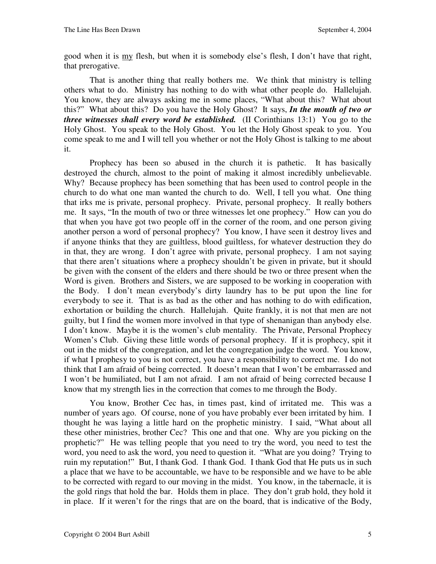good when it is my flesh, but when it is somebody else's flesh, I don't have that right, that prerogative.

 That is another thing that really bothers me. We think that ministry is telling others what to do. Ministry has nothing to do with what other people do. Hallelujah. You know, they are always asking me in some places, "What about this? What about this?" What about this? Do you have the Holy Ghost? It says, *In the mouth of two or three witnesses shall every word be established.* (II Corinthians 13:1) You go to the Holy Ghost. You speak to the Holy Ghost. You let the Holy Ghost speak to you. You come speak to me and I will tell you whether or not the Holy Ghost is talking to me about it.

 Prophecy has been so abused in the church it is pathetic. It has basically destroyed the church, almost to the point of making it almost incredibly unbelievable. Why? Because prophecy has been something that has been used to control people in the church to do what one man wanted the church to do. Well, I tell you what. One thing that irks me is private, personal prophecy. Private, personal prophecy. It really bothers me. It says, "In the mouth of two or three witnesses let one prophecy." How can you do that when you have got two people off in the corner of the room, and one person giving another person a word of personal prophecy? You know, I have seen it destroy lives and if anyone thinks that they are guiltless, blood guiltless, for whatever destruction they do in that, they are wrong. I don't agree with private, personal prophecy. I am not saying that there aren't situations where a prophecy shouldn't be given in private, but it should be given with the consent of the elders and there should be two or three present when the Word is given. Brothers and Sisters, we are supposed to be working in cooperation with the Body. I don't mean everybody's dirty laundry has to be put upon the line for everybody to see it. That is as bad as the other and has nothing to do with edification, exhortation or building the church. Hallelujah. Quite frankly, it is not that men are not guilty, but I find the women more involved in that type of shenanigan than anybody else. I don't know. Maybe it is the women's club mentality. The Private, Personal Prophecy Women's Club. Giving these little words of personal prophecy. If it is prophecy, spit it out in the midst of the congregation, and let the congregation judge the word. You know, if what I prophesy to you is not correct, you have a responsibility to correct me. I do not think that I am afraid of being corrected. It doesn't mean that I won't be embarrassed and I won't be humiliated, but I am not afraid. I am not afraid of being corrected because I know that my strength lies in the correction that comes to me through the Body.

You know, Brother Cec has, in times past, kind of irritated me. This was a number of years ago. Of course, none of you have probably ever been irritated by him. I thought he was laying a little hard on the prophetic ministry. I said, "What about all these other ministries, brother Cec? This one and that one. Why are you picking on the prophetic?" He was telling people that you need to try the word, you need to test the word, you need to ask the word, you need to question it. "What are you doing? Trying to ruin my reputation!" But, I thank God. I thank God. I thank God that He puts us in such a place that we have to be accountable, we have to be responsible and we have to be able to be corrected with regard to our moving in the midst. You know, in the tabernacle, it is the gold rings that hold the bar. Holds them in place. They don't grab hold, they hold it in place. If it weren't for the rings that are on the board, that is indicative of the Body,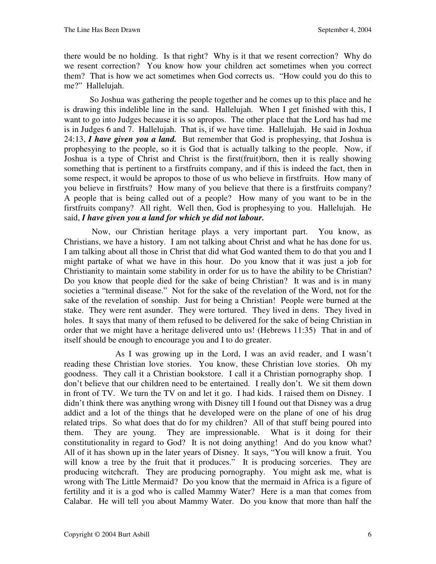there would be no holding. Is that right? Why is it that we resent correction? Why do we resent correction? You know how your children act sometimes when you correct them? That is how we act sometimes when God corrects us. "How could you do this to me?" Hallelujah.

 So Joshua was gathering the people together and he comes up to this place and he is drawing this indelible line in the sand. Hallelujah. When I get finished with this, I want to go into Judges because it is so apropos. The other place that the Lord has had me is in Judges 6 and 7. Hallelujah. That is, if we have time. Hallelujah. He said in Joshua 24:13, *I have given you a land.*But remember that God is prophesying, that Joshua is prophesying to the people, so it is God that is actually talking to the people. Now, if Joshua is a type of Christ and Christ is the first(fruit)born, then it is really showing something that is pertinent to a firstfruits company, and if this is indeed the fact, then in some respect, it would be apropos to those of us who believe in firstfruits. How many of you believe in firstfruits? How many of you believe that there is a firstfruits company? A people that is being called out of a people? How many of you want to be in the firstfruits company? All right. Well then, God is prophesying to you. Hallelujah. He said, *I have given you a land for which ye did not labour.*

 Now, our Christian heritage plays a very important part. You know, as Christians, we have a history. I am not talking about Christ and what he has done for us. I am talking about all those in Christ that did what God wanted them to do that you and I might partake of what we have in this hour. Do you know that it was just a job for Christianity to maintain some stability in order for us to have the ability to be Christian? Do you know that people died for the sake of being Christian? It was and is in many societies a "terminal disease." Not for the sake of the revelation of the Word, not for the sake of the revelation of sonship. Just for being a Christian! People were burned at the stake. They were rent asunder. They were tortured. They lived in dens. They lived in holes. It says that many of them refused to be delivered for the sake of being Christian in order that we might have a heritage delivered unto us! (Hebrews 11:35) That in and of itself should be enough to encourage you and I to do greater.

 As I was growing up in the Lord, I was an avid reader, and I wasn't reading these Christian love stories. You know, these Christian love stories. Oh my goodness. They call it a Christian bookstore. I call it a Christian pornography shop. I don't believe that our children need to be entertained. I really don't. We sit them down in front of TV. We turn the TV on and let it go. I had kids. I raised them on Disney. I didn't think there was anything wrong with Disney till I found out that Disney was a drug addict and a lot of the things that he developed were on the plane of one of his drug related trips. So what does that do for my children? All of that stuff being poured into them. They are young. They are impressionable. What is it doing for their constitutionality in regard to God? It is not doing anything! And do you know what? All of it has shown up in the later years of Disney. It says, "You will know a fruit. You will know a tree by the fruit that it produces." It is producing sorceries. They are producing witchcraft. They are producing pornography. You might ask me, what is wrong with The Little Mermaid? Do you know that the mermaid in Africa is a figure of fertility and it is a god who is called Mammy Water? Here is a man that comes from Calabar. He will tell you about Mammy Water. Do you know that more than half the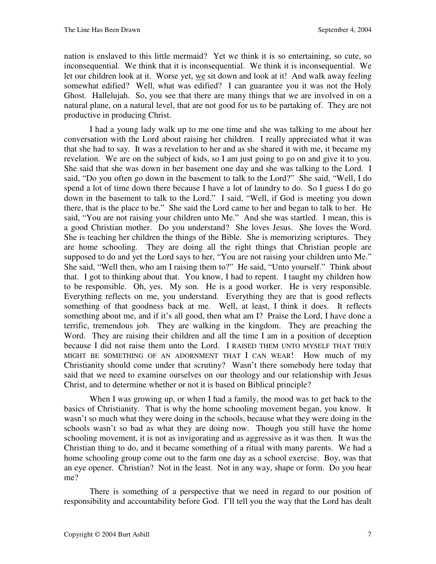nation is enslaved to this little mermaid? Yet we think it is so entertaining, so cute, so inconsequential. We think that it is inconsequential. We think it is inconsequential. We let our children look at it. Worse yet, we sit down and look at it! And walk away feeling somewhat edified? Well, what was edified? I can guarantee you it was not the Holy Ghost. Hallelujah. So, you see that there are many things that we are involved in on a natural plane, on a natural level, that are not good for us to be partaking of. They are not productive in producing Christ.

I had a young lady walk up to me one time and she was talking to me about her conversation with the Lord about raising her children. I really appreciated what it was that she had to say. It was a revelation to her and as she shared it with me, it became my revelation. We are on the subject of kids, so I am just going to go on and give it to you. She said that she was down in her basement one day and she was talking to the Lord. I said, "Do you often go down in the basement to talk to the Lord?" She said, "Well, I do spend a lot of time down there because I have a lot of laundry to do. So I guess I do go down in the basement to talk to the Lord." I said, "Well, if God is meeting you down there, that is the place to be." She said the Lord came to her and began to talk to her. He said, "You are not raising your children unto Me." And she was startled. I mean, this is a good Christian mother. Do you understand? She loves Jesus. She loves the Word. She is teaching her children the things of the Bible. She is memorizing scriptures. They are home schooling. They are doing all the right things that Christian people are supposed to do and yet the Lord says to her, "You are not raising your children unto Me." She said, "Well then, who am I raising them to?" He said, "Unto yourself." Think about that. I got to thinking about that. You know, I had to repent. I taught my children how to be responsible. Oh, yes. My son. He is a good worker. He is very responsible. Everything reflects on me, you understand. Everything they are that is good reflects something of that goodness back at me. Well, at least, I think it does. It reflects something about me, and if it's all good, then what am I? Praise the Lord, I have done a terrific, tremendous job. They are walking in the kingdom. They are preaching the Word. They are raising their children and all the time I am in a position of deception because I did not raise them unto the Lord. I RAISED THEM UNTO MYSELF THAT THEY MIGHT BE SOMETHING OF AN ADORNMENT THAT I CAN WEAR! How much of my Christianity should come under that scrutiny? Wasn't there somebody here today that said that we need to examine ourselves on our theology and our relationship with Jesus Christ, and to determine whether or not it is based on Biblical principle?

 When I was growing up, or when I had a family, the mood was to get back to the basics of Christianity. That is why the home schooling movement began, you know. It wasn't so much what they were doing in the schools, because what they were doing in the schools wasn't so bad as what they are doing now. Though you still have the home schooling movement, it is not as invigorating and as aggressive as it was then. It was the Christian thing to do, and it became something of a ritual with many parents. We had a home schooling group come out to the farm one day as a school exercise. Boy, was that an eye opener. Christian? Not in the least. Not in any way, shape or form. Do you hear me?

There is something of a perspective that we need in regard to our position of responsibility and accountability before God. I'll tell you the way that the Lord has dealt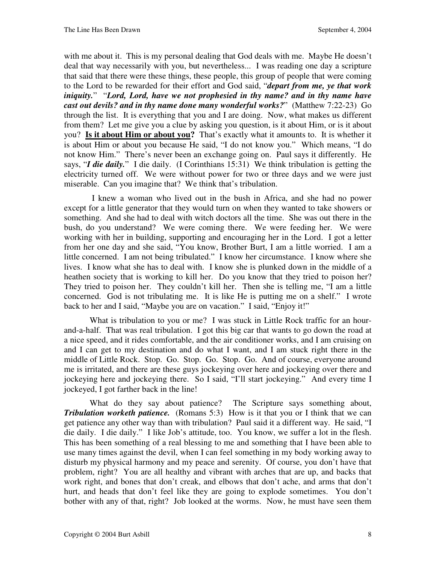with me about it. This is my personal dealing that God deals with me. Maybe He doesn't deal that way necessarily with you, but nevertheless... I was reading one day a scripture that said that there were these things, these people, this group of people that were coming to the Lord to be rewarded for their effort and God said, "*depart from me, ye that work iniquity.*""*Lord, Lord, have we not prophesied in thy name? and in thy name have cast out devils? and in thy name done many wonderful works?*" (Matthew 7:22-23) Go through the list. It is everything that you and I are doing. Now, what makes us different from them? Let me give you a clue by asking you question, is it about Him, or is it about you? **Is it about Him or about you?** That's exactly what it amounts to. It is whether it is about Him or about you because He said, "I do not know you." Which means, "I do not know Him." There's never been an exchange going on. Paul says it differently. He says, "*I die daily.*" I die daily. (I Corinthians 15:31)We think tribulation is getting the electricity turned off. We were without power for two or three days and we were just miserable. Can you imagine that? We think that's tribulation.

 I knew a woman who lived out in the bush in Africa, and she had no power except for a little generator that they would turn on when they wanted to take showers or something. And she had to deal with witch doctors all the time. She was out there in the bush, do you understand? We were coming there. We were feeding her. We were working with her in building, supporting and encouraging her in the Lord. I got a letter from her one day and she said, "You know, Brother Burt, I am a little worried. I am a little concerned. I am not being tribulated." I know her circumstance. I know where she lives. I know what she has to deal with. I know she is plunked down in the middle of a heathen society that is working to kill her. Do you know that they tried to poison her? They tried to poison her. They couldn't kill her. Then she is telling me, "I am a little concerned. God is not tribulating me. It is like He is putting me on a shelf." I wrote back to her and I said, "Maybe you are on vacation." I said, "Enjoy it!"

What is tribulation to you or me? I was stuck in Little Rock traffic for an hourand-a-half. That was real tribulation. I got this big car that wants to go down the road at a nice speed, and it rides comfortable, and the air conditioner works, and I am cruising on and I can get to my destination and do what I want, and I am stuck right there in the middle of Little Rock. Stop. Go. Stop. Go. Stop. Go. And of course, everyone around me is irritated, and there are these guys jockeying over here and jockeying over there and jockeying here and jockeying there. So I said, "I'll start jockeying." And every time I jockeyed, I got farther back in the line!

What do they say about patience? The Scripture says something about, *Tribulation worketh patience.* (Romans 5:3) How is it that you or I think that we can get patience any other way than with tribulation? Paul said it a different way. He said, "I die daily. I die daily." I like Job's attitude, too. You know, we suffer a lot in the flesh. This has been something of a real blessing to me and something that I have been able to use many times against the devil, when I can feel something in my body working away to disturb my physical harmony and my peace and serenity. Of course, you don't have that problem, right? You are all healthy and vibrant with arches that are up, and backs that work right, and bones that don't creak, and elbows that don't ache, and arms that don't hurt, and heads that don't feel like they are going to explode sometimes. You don't bother with any of that, right? Job looked at the worms. Now, he must have seen them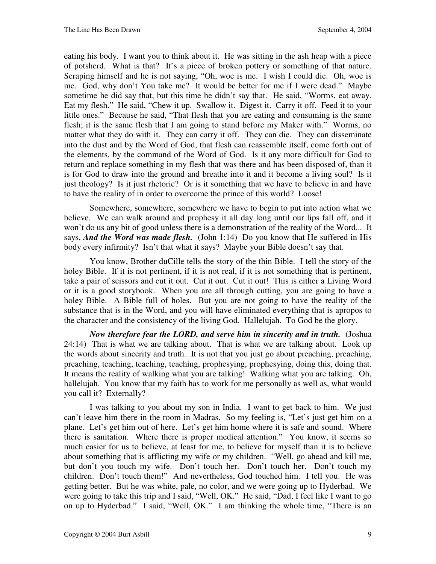eating his body. I want you to think about it. He was sitting in the ash heap with a piece of potsherd. What is that? It's a piece of broken pottery or something of that nature. Scraping himself and he is not saying, "Oh, woe is me. I wish I could die. Oh, woe is me. God, why don't You take me? It would be better for me if I were dead." Maybe sometime he did say that, but this time he didn't say that. He said, "Worms, eat away. Eat my flesh." He said, "Chew it up. Swallow it. Digest it. Carry it off. Feed it to your little ones." Because he said, "That flesh that you are eating and consuming is the same flesh; it is the same flesh that I am going to stand before my Maker with." Worms, no matter what they do with it. They can carry it off. They can die. They can disseminate into the dust and by the Word of God, that flesh can reassemble itself, come forth out of the elements, by the command of the Word of God. Is it any more difficult for God to return and replace something in my flesh that was there and has been disposed of, than it is for God to draw into the ground and breathe into it and it become a living soul? Is it just theology? Is it just rhetoric? Or is it something that we have to believe in and have to have the reality of in order to overcome the prince of this world? Loose!

 Somewhere, somewhere, somewhere we have to begin to put into action what we believe. We can walk around and prophesy it all day long until our lips fall off, and it won't do us any bit of good unless there is a demonstration of the reality of the Word... It says, *And the Word was made flesh.*(John 1:14)Do you know that He suffered in His body every infirmity? Isn't that what it says? Maybe your Bible doesn't say that.

You know, Brother duCille tells the story of the thin Bible. I tell the story of the holey Bible. If it is not pertinent, if it is not real, if it is not something that is pertinent, take a pair of scissors and cut it out. Cut it out. Cut it out! This is either a Living Word or it is a good storybook. When you are all through cutting, you are going to have a holey Bible. A Bible full of holes. But you are not going to have the reality of the substance that is in the Word, and you will have eliminated everything that is apropos to the character and the consistency of the living God. Hallelujah. To God be the glory.

*Now therefore fear the LORD, and serve him in sincerity and in truth.*(Joshua 24:14)That is what we are talking about. That is what we are talking about. Look up the words about sincerity and truth. It is not that you just go about preaching, preaching, preaching, teaching, teaching, teaching, prophesying, prophesying, doing this, doing that. It means the reality of walking what you are talking! Walking what you are talking. Oh, hallelujah. You know that my faith has to work for me personally as well as, what would you call it? Externally?

 I was talking to you about my son in India. I want to get back to him. We just can't leave him there in the room in Madras. So my feeling is, "Let's just get him on a plane. Let's get him out of here. Let's get him home where it is safe and sound. Where there is sanitation. Where there is proper medical attention." You know, it seems so much easier for us to believe, at least for me, to believe for myself than it is to believe about something that is afflicting my wife or my children. "Well, go ahead and kill me, but don't you touch my wife. Don't touch her. Don't touch her. Don't touch my children. Don't touch them!" And nevertheless, God touched him. I tell you. He was getting better. But he was white, pale, no color, and we were going up to Hyderbad. We were going to take this trip and I said, "Well, OK." He said, "Dad, I feel like I want to go on up to Hyderbad." I said, "Well, OK." I am thinking the whole time, "There is an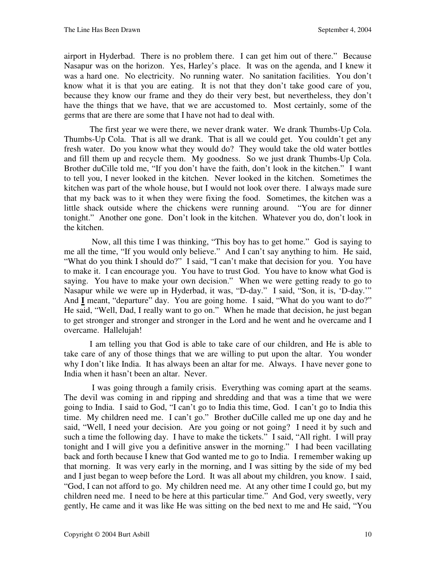airport in Hyderbad. There is no problem there. I can get him out of there." Because Nasapur was on the horizon. Yes, Harley's place. It was on the agenda, and I knew it was a hard one. No electricity. No running water. No sanitation facilities. You don't know what it is that you are eating. It is not that they don't take good care of you, because they know our frame and they do their very best, but nevertheless, they don't have the things that we have, that we are accustomed to. Most certainly, some of the germs that are there are some that I have not had to deal with.

 The first year we were there, we never drank water. We drank Thumbs-Up Cola. Thumbs-Up Cola. That is all we drank. That is all we could get. You couldn't get any fresh water. Do you know what they would do? They would take the old water bottles and fill them up and recycle them. My goodness. So we just drank Thumbs-Up Cola. Brother duCille told me, "If you don't have the faith, don't look in the kitchen." I want to tell you, I never looked in the kitchen. Never looked in the kitchen. Sometimes the kitchen was part of the whole house, but I would not look over there. I always made sure that my back was to it when they were fixing the food. Sometimes, the kitchen was a little shack outside where the chickens were running around. "You are for dinner tonight." Another one gone. Don't look in the kitchen. Whatever you do, don't look in the kitchen.

 Now, all this time I was thinking, "This boy has to get home." God is saying to me all the time, "If you would only believe." And I can't say anything to him. He said, "What do you think I should do?" I said, "I can't make that decision for you. You have to make it. I can encourage you. You have to trust God. You have to know what God is saying. You have to make your own decision." When we were getting ready to go to Nasapur while we were up in Hyderbad, it was, "D-day." I said, "Son, it is, 'D-day.'" And *I* meant, "departure" day. You are going home. I said, "What do you want to do?" He said, "Well, Dad, I really want to go on." When he made that decision, he just began to get stronger and stronger and stronger in the Lord and he went and he overcame and I overcame. Hallelujah!

 I am telling you that God is able to take care of our children, and He is able to take care of any of those things that we are willing to put upon the altar. You wonder why I don't like India. It has always been an altar for me. Always. I have never gone to India when it hasn't been an altar. Never.

 I was going through a family crisis. Everything was coming apart at the seams. The devil was coming in and ripping and shredding and that was a time that we were going to India. I said to God, "I can't go to India this time, God. I can't go to India this time. My children need me. I can't go." Brother duCille called me up one day and he said, "Well, I need your decision. Are you going or not going? I need it by such and such a time the following day. I have to make the tickets." I said, "All right. I will pray tonight and I will give you a definitive answer in the morning." I had been vacillating back and forth because I knew that God wanted me to go to India. I remember waking up that morning. It was very early in the morning, and I was sitting by the side of my bed and I just began to weep before the Lord. It was all about my children, you know. I said, "God, I can not afford to go. My children need me. At any other time I could go, but my children need me. I need to be here at this particular time." And God, very sweetly, very gently, He came and it was like He was sitting on the bed next to me and He said, "You